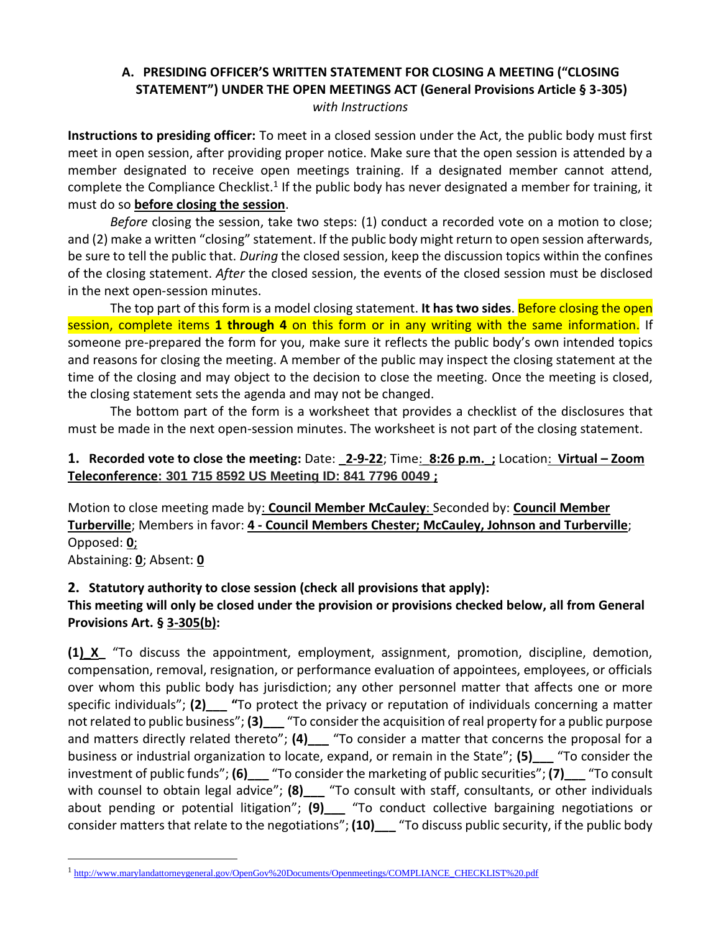# **A. PRESIDING OFFICER'S WRITTEN STATEMENT FOR CLOSING A MEETING ("CLOSING STATEMENT") UNDER THE OPEN MEETINGS ACT (General Provisions Article § 3-305)** *with Instructions*

**Instructions to presiding officer:** To meet in a closed session under the Act, the public body must first meet in open session, after providing proper notice. Make sure that the open session is attended by a member designated to receive open meetings training. If a designated member cannot attend, complete the Compliance Checklist.<sup>1</sup> If the public body has never designated a member for training, it must do so **before closing the session**.

*Before* closing the session, take two steps: (1) conduct a recorded vote on a motion to close; and (2) make a written "closing" statement. If the public body might return to open session afterwards, be sure to tell the public that. *During* the closed session, keep the discussion topics within the confines of the closing statement. *After* the closed session, the events of the closed session must be disclosed in the next open-session minutes.

The top part of this form is a model closing statement. **It has two sides**. Before closing the open session, complete items **1 through 4** on this form or in any writing with the same information. If someone pre-prepared the form for you, make sure it reflects the public body's own intended topics and reasons for closing the meeting. A member of the public may inspect the closing statement at the time of the closing and may object to the decision to close the meeting. Once the meeting is closed, the closing statement sets the agenda and may not be changed.

The bottom part of the form is a worksheet that provides a checklist of the disclosures that must be made in the next open-session minutes. The worksheet is not part of the closing statement.

# **1. Recorded vote to close the meeting:** Date: **\_2-9-22**; Time:\_**8:26 p.m.\_;** Location: **Virtual – Zoom Teleconference: 301 715 8592 US Meeting ID: 841 7796 0049 ;**

Motion to close meeting made by: **Council Member McCauley**: Seconded by: **Council Member Turberville**; Members in favor: **4 - Council Members Chester; McCauley, Johnson and Turberville**; Opposed: **0**;

Abstaining: **0**; Absent: **0**

# **2. Statutory authority to close session (check all provisions that apply):**

# **This meeting will only be closed under the provision or provisions checked below, all from General Provisions Art. § 3-305(b):**

**(1)\_X\_** "To discuss the appointment, employment, assignment, promotion, discipline, demotion, compensation, removal, resignation, or performance evaluation of appointees, employees, or officials over whom this public body has jurisdiction; any other personnel matter that affects one or more specific individuals"; (2) <sup>"</sup>To protect the privacy or reputation of individuals concerning a matter not related to public business"; **(3)\_\_\_** "To consider the acquisition of real property for a public purpose and matters directly related thereto"; **(4)\_\_\_** "To consider a matter that concerns the proposal for a business or industrial organization to locate, expand, or remain in the State"; **(5)\_\_\_** "To consider the investment of public funds"; **(6)\_\_\_** "To consider the marketing of public securities"; **(7)\_\_\_** "To consult with counsel to obtain legal advice"; **(8)** To consult with staff, consultants, or other individuals about pending or potential litigation"; **(9)\_\_\_** "To conduct collective bargaining negotiations or consider matters that relate to the negotiations"; **(10)\_\_\_** "To discuss public security, if the public body

<sup>&</sup>lt;sup>1</sup>[http://www.marylandattorneygeneral.gov/OpenGov%20Documents/Openmeetings/COMPLIANCE\\_CHECKLIST%20.pdf](http://www.marylandattorneygeneral.gov/OpenGov%20Documents/Openmeetings/COMPLIANCE_CHECKLIST%20.pdf)